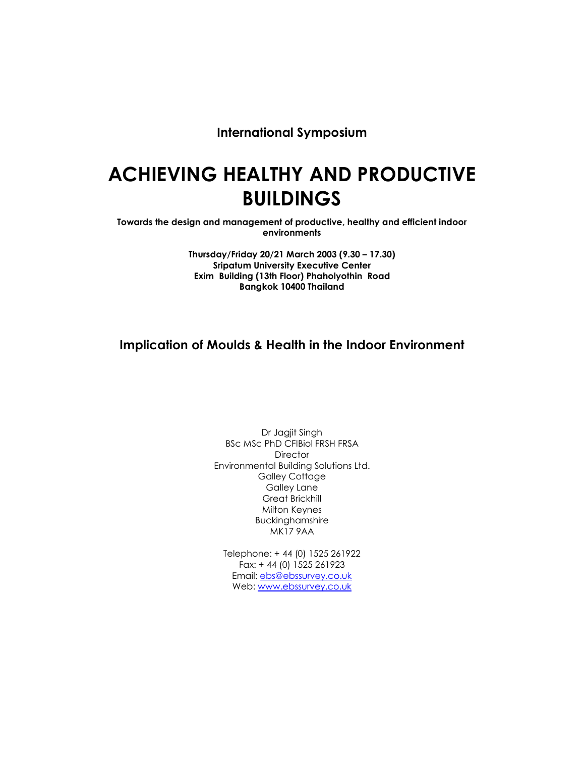International Symposium

# ACHIEVING HEALTHY AND PRODUCTIVE BUILDINGS

Towards the design and management of productive, healthy and efficient indoor environments

> Thursday/Friday 20/21 March 2003 (9.30 – 17.30) Sripatum University Executive Center Exim Building (13th Floor) Phaholyothin Road Bangkok 10400 Thailand

# Implication of Moulds & Health in the Indoor Environment

Dr Jagjit Singh BSc MSc PhD CFIBiol FRSH FRSA **Director** Environmental Building Solutions Ltd. Galley Cottage Galley Lane Great Brickhill Milton Keynes Buckinghamshire MK17 9AA

Telephone: + 44 (0) 1525 261922 Fax: + 44 (0) 1525 261923 Email: ebs@ebssurvey.co.uk Web: www.ebssurvey.co.uk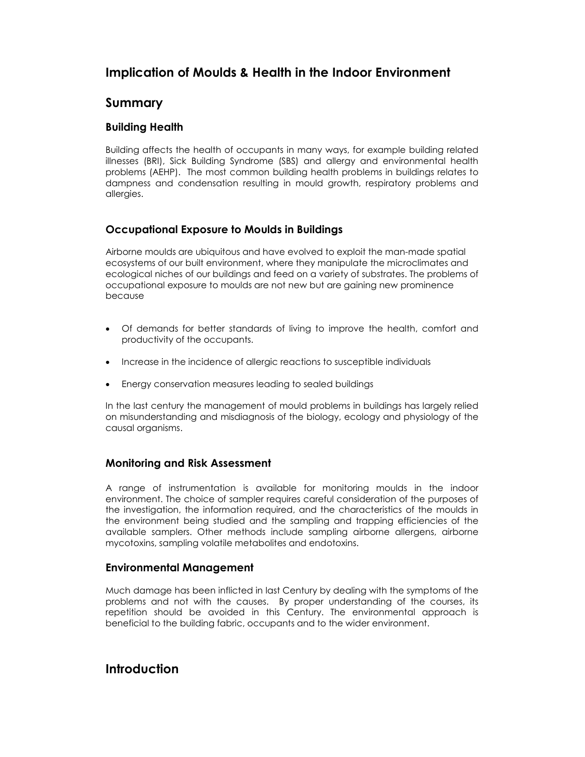# Implication of Moulds & Health in the Indoor Environment

# Summary

#### Building Health

Building affects the health of occupants in many ways, for example building related illnesses (BRI), Sick Building Syndrome (SBS) and allergy and environmental health problems (AEHP). The most common building health problems in buildings relates to dampness and condensation resulting in mould growth, respiratory problems and allergies.

### Occupational Exposure to Moulds in Buildings

Airborne moulds are ubiquitous and have evolved to exploit the man-made spatial ecosystems of our built environment, where they manipulate the microclimates and ecological niches of our buildings and feed on a variety of substrates. The problems of occupational exposure to moulds are not new but are gaining new prominence because

- Of demands for better standards of living to improve the health, comfort and productivity of the occupants.
- Increase in the incidence of allergic reactions to susceptible individuals
- Energy conservation measures leading to sealed buildings

In the last century the management of mould problems in buildings has largely relied on misunderstanding and misdiagnosis of the biology, ecology and physiology of the causal organisms.

### Monitoring and Risk Assessment

A range of instrumentation is available for monitoring moulds in the indoor environment. The choice of sampler requires careful consideration of the purposes of the investigation, the information required, and the characteristics of the moulds in the environment being studied and the sampling and trapping efficiencies of the available samplers. Other methods include sampling airborne allergens, airborne mycotoxins, sampling volatile metabolites and endotoxins.

### Environmental Management

Much damage has been inflicted in last Century by dealing with the symptoms of the problems and not with the causes. By proper understanding of the courses, its repetition should be avoided in this Century. The environmental approach is beneficial to the building fabric, occupants and to the wider environment.

## Introduction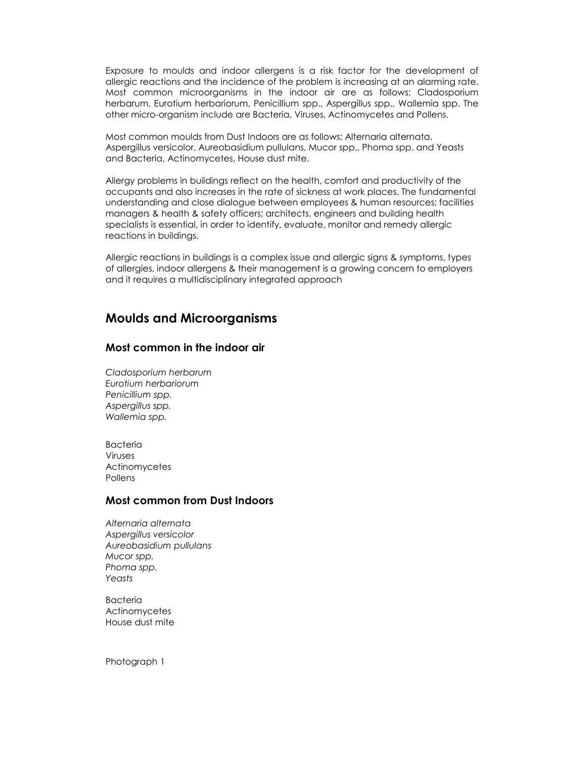Exposure to moulds and indoor allergens is a risk factor for the development of allergic reactions and the incidence of the problem is increasing at an alarming rate. Most common microorganisms in the indoor air are as follows; Cladosporium herbarum, Eurotium herbariorum, Penicillium spp., Aspergillus spp., Wallemia spp. The other micro-organism include are Bacteria, Viruses, Actinomycetes and Pollens.

Most common moulds from Dust Indoors are as follows; Alternaria alternata, Aspergillus versicolor, Aureobasidium pullulans, Mucor spp., Phoma spp. and Yeasts and Bacteria, Actinomycetes, House dust mite.

Allergy problems in buildings reflect on the health, comfort and productivity of the occupants and also increases in the rate of sickness at work places. The fundamental understanding and close dialogue between employees & human resources; facilities managers & health & safety officers; architects, engineers and building health specialists is essential, in order to identify, evaluate, monitor and remedy allergic reactions in buildings.

Allergic reactions in buildings is a complex issue and allergic signs & symptoms, types of allergies, indoor allergens & their management is a growing concern to employers and it requires a multidisciplinary integrated approach

### Moulds and Microorganisms

#### Most common in the indoor air

Cladosporium herbarum Eurotium herbariorum Penicillium spp. Aspergillus spp. Wallemia spp.

Bacteria Viruses Actinomycetes Pollens

#### Most common from Dust Indoors

Alternaria alternata Aspergillus versicolor Aureobasidium pullulans Mucor spp. Phoma spp. Yeasts

Bacteria **Actinomycetes** House dust mite

Photograph 1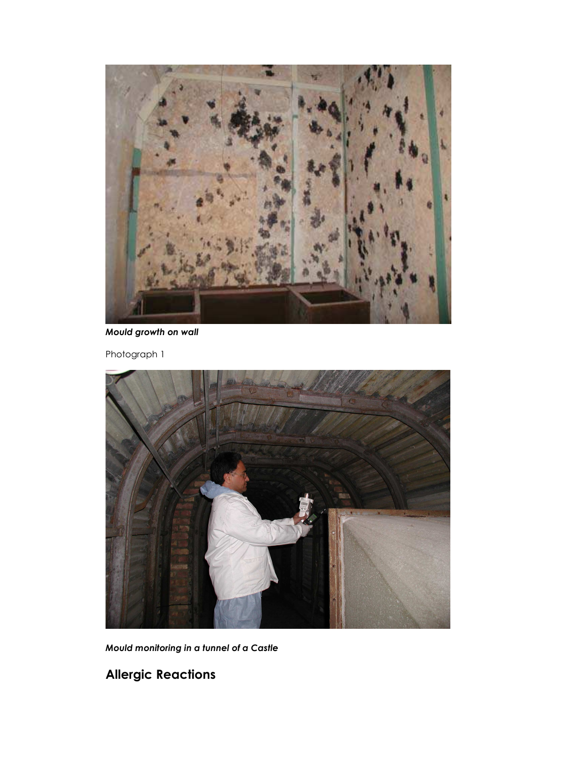

Mould growth on wall

Photograph 1



Mould monitoring in a tunnel of a Castle

Allergic Reactions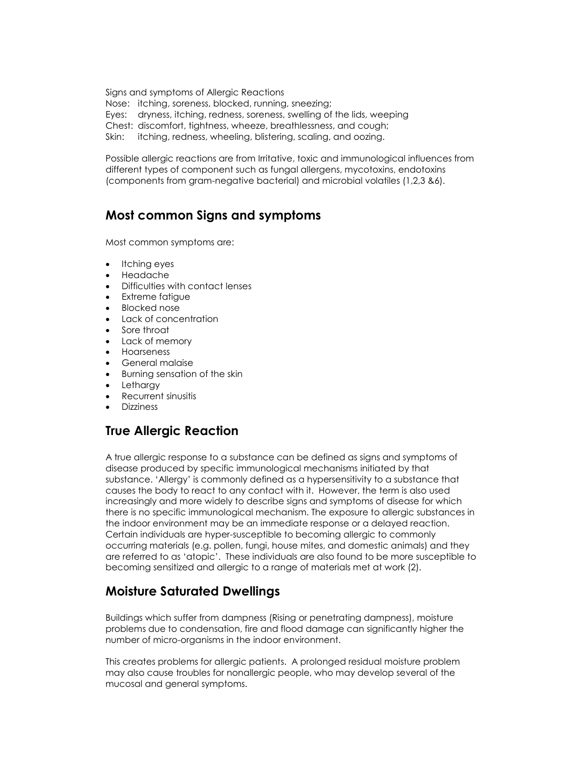Signs and symptoms of Allergic Reactions Nose: itching, soreness, blocked, running, sneezing; Eyes: dryness, itching, redness, soreness, swelling of the lids, weeping Chest: discomfort, tightness, wheeze, breathlessness, and cough; Skin: itching, redness, wheeling, blistering, scaling, and oozing.

Possible allergic reactions are from Irritative, toxic and immunological influences from different types of component such as fungal allergens, mycotoxins, endotoxins (components from gram-negative bacterial) and microbial volatiles (1,2,3 &6).

# Most common Signs and symptoms

Most common symptoms are:

- Itching eyes
- Headache
- Difficulties with contact lenses
- Extreme fatigue
- Blocked nose
- Lack of concentration
- Sore throat
- Lack of memory
- Hoarseness
- General malaise
- Burning sensation of the skin
- Lethargy
- Recurrent sinusitis
- Dizziness

# True Allergic Reaction

A true allergic response to a substance can be defined as signs and symptoms of disease produced by specific immunological mechanisms initiated by that substance. 'Allergy' is commonly defined as a hypersensitivity to a substance that causes the body to react to any contact with it. However, the term is also used increasingly and more widely to describe signs and symptoms of disease for which there is no specific immunological mechanism. The exposure to allergic substances in the indoor environment may be an immediate response or a delayed reaction. Certain individuals are hyper-susceptible to becoming allergic to commonly occurring materials (e.g. pollen, fungi, house mites, and domestic animals) and they are referred to as 'atopic'. These individuals are also found to be more susceptible to becoming sensitized and allergic to a range of materials met at work (2).

# Moisture Saturated Dwellings

Buildings which suffer from dampness (Rising or penetrating dampness), moisture problems due to condensation, fire and flood damage can significantly higher the number of micro-organisms in the indoor environment.

This creates problems for allergic patients. A prolonged residual moisture problem may also cause troubles for nonallergic people, who may develop several of the mucosal and general symptoms.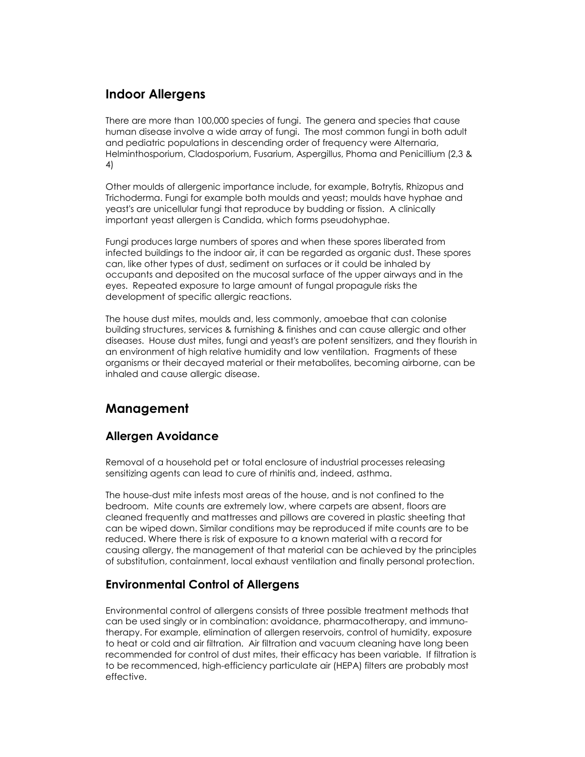# Indoor Allergens

There are more than 100,000 species of fungi. The genera and species that cause human disease involve a wide array of fungi. The most common fungi in both adult and pediatric populations in descending order of frequency were Alternaria, Helminthosporium, Cladosporium, Fusarium, Aspergillus, Phoma and Penicillium (2,3 & 4)

Other moulds of allergenic importance include, for example, Botrytis, Rhizopus and Trichoderma. Fungi for example both moulds and yeast; moulds have hyphae and yeast's are unicellular fungi that reproduce by budding or fission. A clinically important yeast allergen is Candida, which forms pseudohyphae.

Fungi produces large numbers of spores and when these spores liberated from infected buildings to the indoor air, it can be regarded as organic dust. These spores can, like other types of dust, sediment on surfaces or it could be inhaled by occupants and deposited on the mucosal surface of the upper airways and in the eyes. Repeated exposure to large amount of fungal propagule risks the development of specific allergic reactions.

The house dust mites, moulds and, less commonly, amoebae that can colonise building structures, services & furnishing & finishes and can cause allergic and other diseases. House dust mites, fungi and yeast's are potent sensitizers, and they flourish in an environment of high relative humidity and low ventilation. Fragments of these organisms or their decayed material or their metabolites, becoming airborne, can be inhaled and cause allergic disease.

# Management

## Allergen Avoidance

Removal of a household pet or total enclosure of industrial processes releasing sensitizing agents can lead to cure of rhinitis and, indeed, asthma.

The house-dust mite infests most areas of the house, and is not confined to the bedroom. Mite counts are extremely low, where carpets are absent, floors are cleaned frequently and mattresses and pillows are covered in plastic sheeting that can be wiped down. Similar conditions may be reproduced if mite counts are to be reduced. Where there is risk of exposure to a known material with a record for causing allergy, the management of that material can be achieved by the principles of substitution, containment, local exhaust ventilation and finally personal protection.

## Environmental Control of Allergens

Environmental control of allergens consists of three possible treatment methods that can be used singly or in combination: avoidance, pharmacotherapy, and immunotherapy. For example, elimination of allergen reservoirs, control of humidity, exposure to heat or cold and air filtration. Air filtration and vacuum cleaning have long been recommended for control of dust mites, their efficacy has been variable. If filtration is to be recommenced, high-efficiency particulate air (HEPA) filters are probably most effective.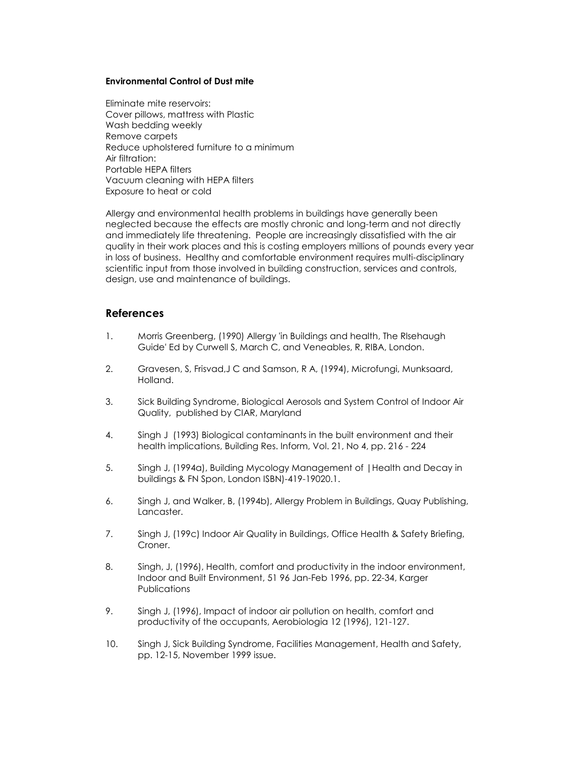#### Environmental Control of Dust mite

Eliminate mite reservoirs: Cover pillows, mattress with Plastic Wash bedding weekly Remove carpets Reduce upholstered furniture to a minimum Air filtration: Portable HEPA filters Vacuum cleaning with HEPA filters Exposure to heat or cold

Allergy and environmental health problems in buildings have generally been neglected because the effects are mostly chronic and long-term and not directly and immediately life threatening. People are increasingly dissatisfied with the air quality in their work places and this is costing employers millions of pounds every year in loss of business. Healthy and comfortable environment requires multi-disciplinary scientific input from those involved in building construction, services and controls, design, use and maintenance of buildings.

#### References

- 1. Morris Greenberg, (1990) Allergy 'in Buildings and health, The Rlsehaugh Guide' Ed by Curwell S, March C, and Veneables, R, RIBA, London.
- 2. Gravesen, S, Frisvad,J C and Samson, R A, (1994), Microfungi, Munksaard, Holland.
- 3. Sick Building Syndrome, Biological Aerosols and System Control of Indoor Air Quality, published by CIAR, Maryland
- 4. Singh J (1993) Biological contaminants in the built environment and their health implications, Building Res. Inform, Vol. 21, No 4, pp. 216 - 224
- 5. Singh J, (1994a), Building Mycology Management of |Health and Decay in buildings & FN Spon, London ISBN)-419-19020.1.
- 6. Singh J, and Walker, B, (1994b), Allergy Problem in Buildings, Quay Publishing, Lancaster.
- 7. Singh J, (199c) Indoor Air Quality in Buildings, Office Health & Safety Briefing, Croner.
- 8. Singh, J, (1996), Health, comfort and productivity in the indoor environment, Indoor and Built Environment, 51 96 Jan-Feb 1996, pp. 22-34, Karger **Publications**
- 9. Singh J, (1996), Impact of indoor air pollution on health, comfort and productivity of the occupants, Aerobiologia 12 (1996), 121-127.
- 10. Singh J, Sick Building Syndrome, Facilities Management, Health and Safety, pp. 12-15, November 1999 issue.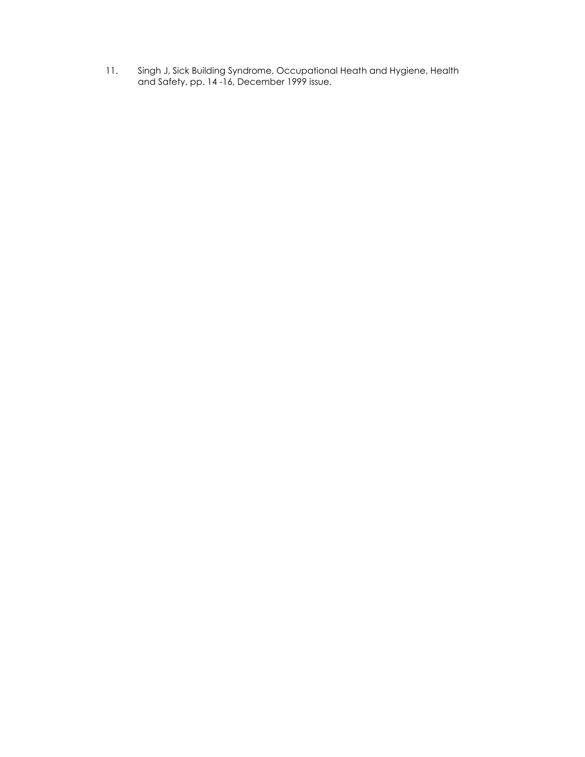11. Singh J, Sick Building Syndrome, Occupational Heath and Hygiene, Health and Safety, pp. 14 -16, December 1999 issue.